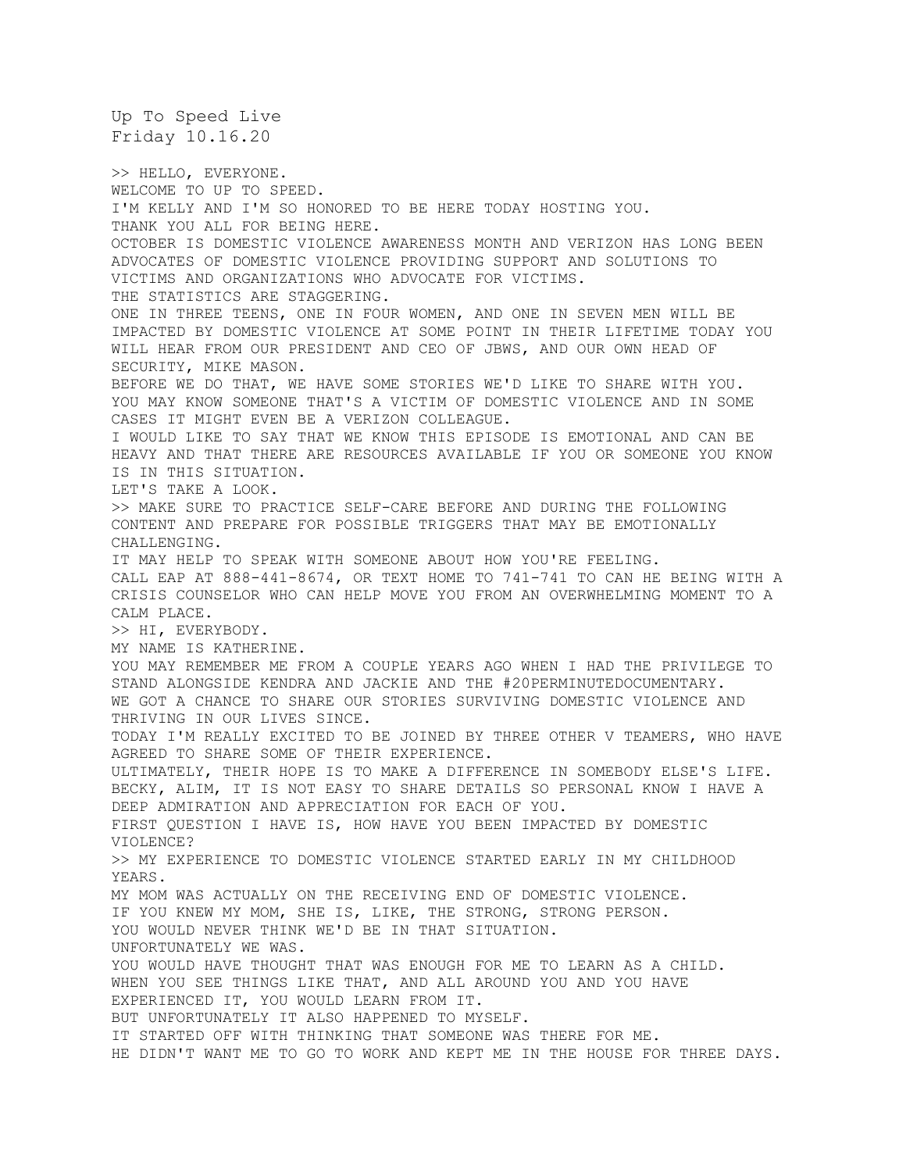Up To Speed Live Friday 10.16.20 >> HELLO, EVERYONE. WELCOME TO UP TO SPEED. I'M KELLY AND I'M SO HONORED TO BE HERE TODAY HOSTING YOU. THANK YOU ALL FOR BEING HERE. OCTOBER IS DOMESTIC VIOLENCE AWARENESS MONTH AND VERIZON HAS LONG BEEN ADVOCATES OF DOMESTIC VIOLENCE PROVIDING SUPPORT AND SOLUTIONS TO VICTIMS AND ORGANIZATIONS WHO ADVOCATE FOR VICTIMS. THE STATISTICS ARE STAGGERING. ONE IN THREE TEENS, ONE IN FOUR WOMEN, AND ONE IN SEVEN MEN WILL BE IMPACTED BY DOMESTIC VIOLENCE AT SOME POINT IN THEIR LIFETIME TODAY YOU WILL HEAR FROM OUR PRESIDENT AND CEO OF JBWS, AND OUR OWN HEAD OF SECURITY, MIKE MASON. BEFORE WE DO THAT, WE HAVE SOME STORIES WE'D LIKE TO SHARE WITH YOU. YOU MAY KNOW SOMEONE THAT'S A VICTIM OF DOMESTIC VIOLENCE AND IN SOME CASES IT MIGHT EVEN BE A VERIZON COLLEAGUE. I WOULD LIKE TO SAY THAT WE KNOW THIS EPISODE IS EMOTIONAL AND CAN BE HEAVY AND THAT THERE ARE RESOURCES AVAILABLE IF YOU OR SOMEONE YOU KNOW IS IN THIS SITUATION. LET'S TAKE A LOOK. >> MAKE SURE TO PRACTICE SELF-CARE BEFORE AND DURING THE FOLLOWING CONTENT AND PREPARE FOR POSSIBLE TRIGGERS THAT MAY BE EMOTIONALLY CHALLENGING. IT MAY HELP TO SPEAK WITH SOMEONE ABOUT HOW YOU'RE FEELING. CALL EAP AT 888-441-8674, OR TEXT HOME TO 741-741 TO CAN HE BEING WITH A CRISIS COUNSELOR WHO CAN HELP MOVE YOU FROM AN OVERWHELMING MOMENT TO A CALM PLACE. >> HI, EVERYBODY. MY NAME IS KATHERINE. YOU MAY REMEMBER ME FROM A COUPLE YEARS AGO WHEN I HAD THE PRIVILEGE TO STAND ALONGSIDE KENDRA AND JACKIE AND THE #20PERMINUTEDOCUMENTARY. WE GOT A CHANCE TO SHARE OUR STORIES SURVIVING DOMESTIC VIOLENCE AND THRIVING IN OUR LIVES SINCE. TODAY I'M REALLY EXCITED TO BE JOINED BY THREE OTHER V TEAMERS, WHO HAVE AGREED TO SHARE SOME OF THEIR EXPERIENCE. ULTIMATELY, THEIR HOPE IS TO MAKE A DIFFERENCE IN SOMEBODY ELSE'S LIFE. BECKY, ALIM, IT IS NOT EASY TO SHARE DETAILS SO PERSONAL KNOW I HAVE A DEEP ADMIRATION AND APPRECIATION FOR EACH OF YOU. FIRST QUESTION I HAVE IS, HOW HAVE YOU BEEN IMPACTED BY DOMESTIC VIOLENCE? >> MY EXPERIENCE TO DOMESTIC VIOLENCE STARTED EARLY IN MY CHILDHOOD YEARS. MY MOM WAS ACTUALLY ON THE RECEIVING END OF DOMESTIC VIOLENCE. IF YOU KNEW MY MOM, SHE IS, LIKE, THE STRONG, STRONG PERSON. YOU WOULD NEVER THINK WE'D BE IN THAT SITUATION. UNFORTUNATELY WE WAS. YOU WOULD HAVE THOUGHT THAT WAS ENOUGH FOR ME TO LEARN AS A CHILD. WHEN YOU SEE THINGS LIKE THAT, AND ALL AROUND YOU AND YOU HAVE EXPERIENCED IT, YOU WOULD LEARN FROM IT. BUT UNFORTUNATELY IT ALSO HAPPENED TO MYSELF. IT STARTED OFF WITH THINKING THAT SOMEONE WAS THERE FOR ME. HE DIDN'T WANT ME TO GO TO WORK AND KEPT ME IN THE HOUSE FOR THREE DAYS.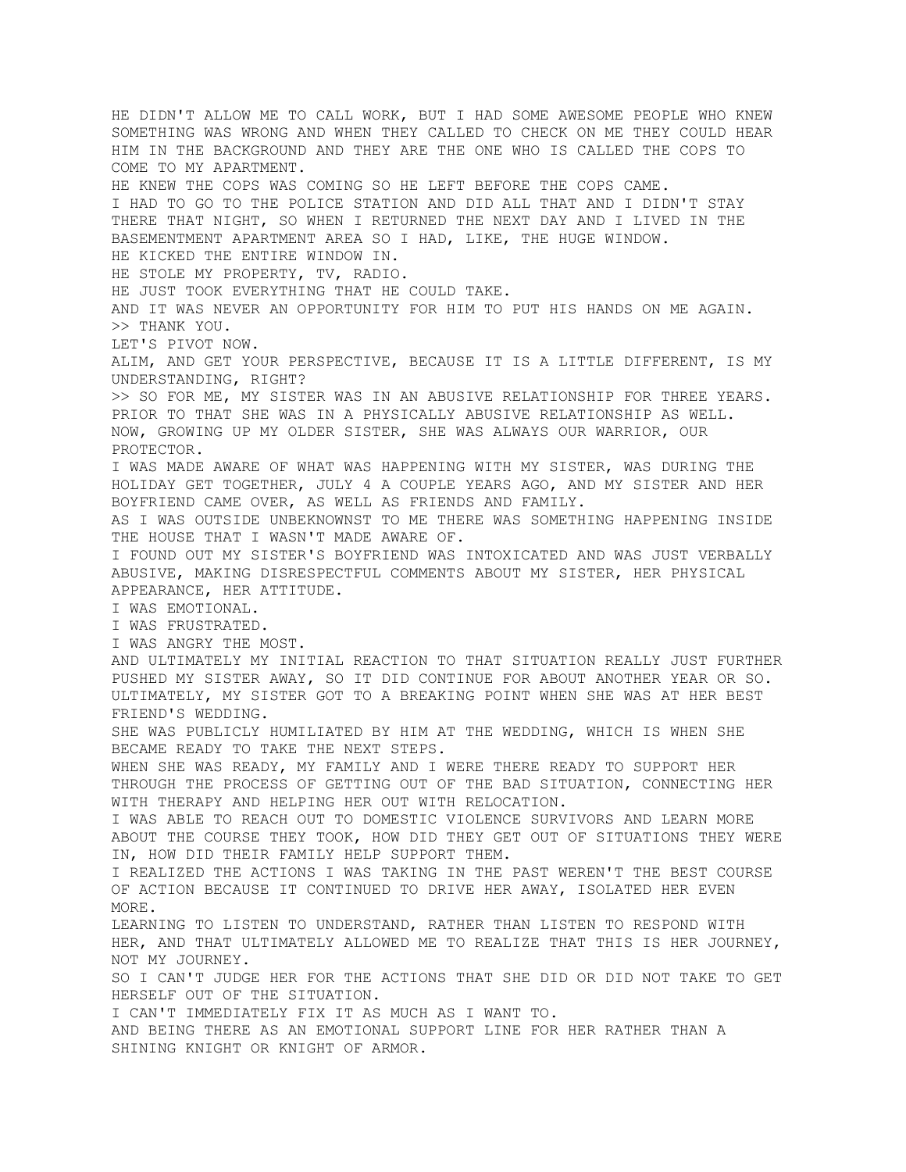HE DIDN'T ALLOW ME TO CALL WORK, BUT I HAD SOME AWESOME PEOPLE WHO KNEW SOMETHING WAS WRONG AND WHEN THEY CALLED TO CHECK ON ME THEY COULD HEAR HIM IN THE BACKGROUND AND THEY ARE THE ONE WHO IS CALLED THE COPS TO COME TO MY APARTMENT. HE KNEW THE COPS WAS COMING SO HE LEFT BEFORE THE COPS CAME. I HAD TO GO TO THE POLICE STATION AND DID ALL THAT AND I DIDN'T STAY THERE THAT NIGHT, SO WHEN I RETURNED THE NEXT DAY AND I LIVED IN THE BASEMENTMENT APARTMENT AREA SO I HAD, LIKE, THE HUGE WINDOW. HE KICKED THE ENTIRE WINDOW IN. HE STOLE MY PROPERTY, TV, RADIO. HE JUST TOOK EVERYTHING THAT HE COULD TAKE. AND IT WAS NEVER AN OPPORTUNITY FOR HIM TO PUT HIS HANDS ON ME AGAIN. >> THANK YOU. LET'S PIVOT NOW. ALIM, AND GET YOUR PERSPECTIVE, BECAUSE IT IS A LITTLE DIFFERENT, IS MY UNDERSTANDING, RIGHT? >> SO FOR ME, MY SISTER WAS IN AN ABUSIVE RELATIONSHIP FOR THREE YEARS. PRIOR TO THAT SHE WAS IN A PHYSICALLY ABUSIVE RELATIONSHIP AS WELL. NOW, GROWING UP MY OLDER SISTER, SHE WAS ALWAYS OUR WARRIOR, OUR PROTECTOR. I WAS MADE AWARE OF WHAT WAS HAPPENING WITH MY SISTER, WAS DURING THE HOLIDAY GET TOGETHER, JULY 4 A COUPLE YEARS AGO, AND MY SISTER AND HER BOYFRIEND CAME OVER, AS WELL AS FRIENDS AND FAMILY. AS I WAS OUTSIDE UNBEKNOWNST TO ME THERE WAS SOMETHING HAPPENING INSIDE THE HOUSE THAT I WASN'T MADE AWARE OF. I FOUND OUT MY SISTER'S BOYFRIEND WAS INTOXICATED AND WAS JUST VERBALLY ABUSIVE, MAKING DISRESPECTFUL COMMENTS ABOUT MY SISTER, HER PHYSICAL APPEARANCE, HER ATTITUDE. I WAS EMOTIONAL. I WAS FRUSTRATED. I WAS ANGRY THE MOST. AND ULTIMATELY MY INITIAL REACTION TO THAT SITUATION REALLY JUST FURTHER PUSHED MY SISTER AWAY, SO IT DID CONTINUE FOR ABOUT ANOTHER YEAR OR SO. ULTIMATELY, MY SISTER GOT TO A BREAKING POINT WHEN SHE WAS AT HER BEST FRIEND'S WEDDING. SHE WAS PUBLICLY HUMILIATED BY HIM AT THE WEDDING, WHICH IS WHEN SHE BECAME READY TO TAKE THE NEXT STEPS. WHEN SHE WAS READY, MY FAMILY AND I WERE THERE READY TO SUPPORT HER THROUGH THE PROCESS OF GETTING OUT OF THE BAD SITUATION, CONNECTING HER WITH THERAPY AND HELPING HER OUT WITH RELOCATION. I WAS ABLE TO REACH OUT TO DOMESTIC VIOLENCE SURVIVORS AND LEARN MORE ABOUT THE COURSE THEY TOOK, HOW DID THEY GET OUT OF SITUATIONS THEY WERE IN, HOW DID THEIR FAMILY HELP SUPPORT THEM. I REALIZED THE ACTIONS I WAS TAKING IN THE PAST WEREN'T THE BEST COURSE OF ACTION BECAUSE IT CONTINUED TO DRIVE HER AWAY, ISOLATED HER EVEN MORE. LEARNING TO LISTEN TO UNDERSTAND, RATHER THAN LISTEN TO RESPOND WITH HER, AND THAT ULTIMATELY ALLOWED ME TO REALIZE THAT THIS IS HER JOURNEY, NOT MY JOURNEY. SO I CAN'T JUDGE HER FOR THE ACTIONS THAT SHE DID OR DID NOT TAKE TO GET HERSELF OUT OF THE SITUATION. I CAN'T IMMEDIATELY FIX IT AS MUCH AS I WANT TO. AND BEING THERE AS AN EMOTIONAL SUPPORT LINE FOR HER RATHER THAN A SHINING KNIGHT OR KNIGHT OF ARMOR.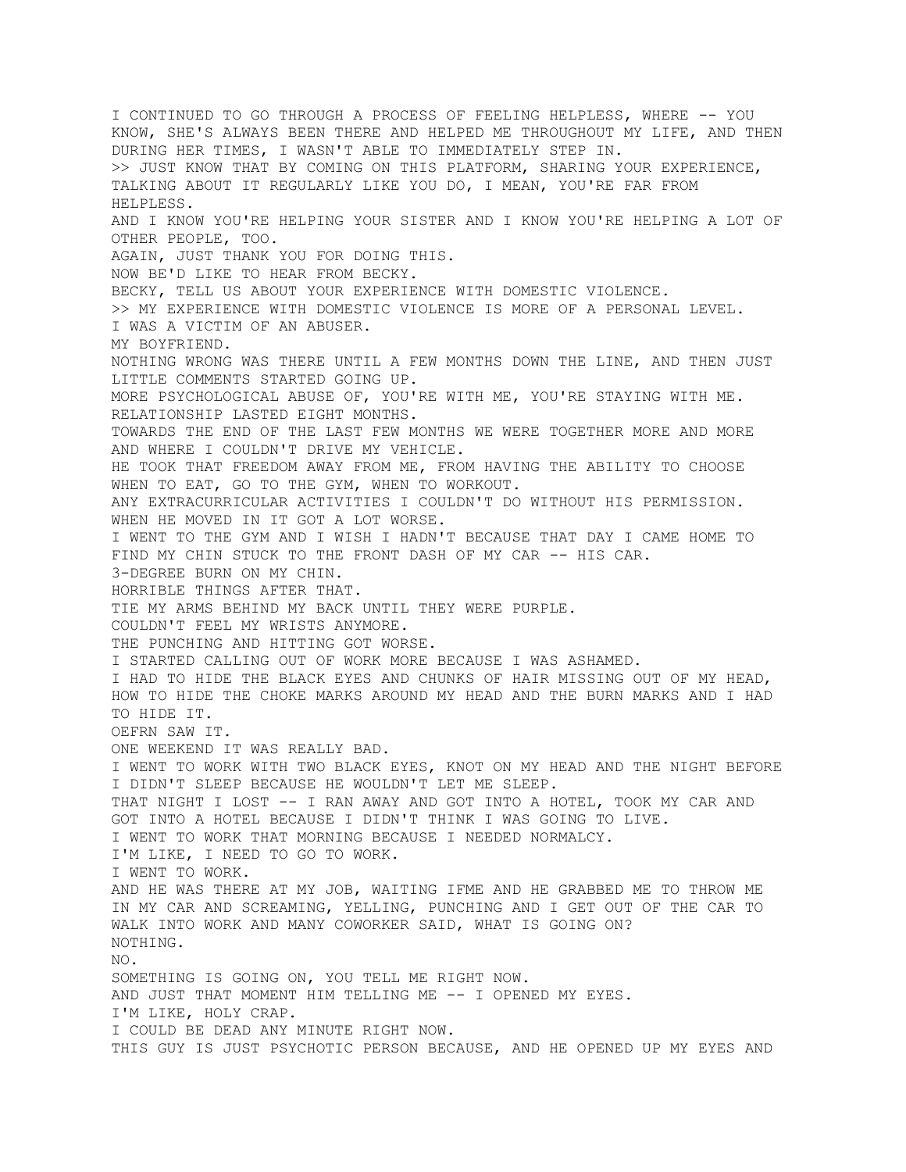I CONTINUED TO GO THROUGH A PROCESS OF FEELING HELPLESS, WHERE -- YOU KNOW, SHE'S ALWAYS BEEN THERE AND HELPED ME THROUGHOUT MY LIFE, AND THEN DURING HER TIMES, I WASN'T ABLE TO IMMEDIATELY STEP IN. >> JUST KNOW THAT BY COMING ON THIS PLATFORM, SHARING YOUR EXPERIENCE, TALKING ABOUT IT REGULARLY LIKE YOU DO, I MEAN, YOU'RE FAR FROM HELPLESS. AND I KNOW YOU'RE HELPING YOUR SISTER AND I KNOW YOU'RE HELPING A LOT OF OTHER PEOPLE, TOO. AGAIN, JUST THANK YOU FOR DOING THIS. NOW BE'D LIKE TO HEAR FROM BECKY. BECKY, TELL US ABOUT YOUR EXPERIENCE WITH DOMESTIC VIOLENCE. >> MY EXPERIENCE WITH DOMESTIC VIOLENCE IS MORE OF A PERSONAL LEVEL. I WAS A VICTIM OF AN ABUSER. MY BOYFRIEND. NOTHING WRONG WAS THERE UNTIL A FEW MONTHS DOWN THE LINE, AND THEN JUST LITTLE COMMENTS STARTED GOING UP. MORE PSYCHOLOGICAL ABUSE OF, YOU'RE WITH ME, YOU'RE STAYING WITH ME. RELATIONSHIP LASTED EIGHT MONTHS. TOWARDS THE END OF THE LAST FEW MONTHS WE WERE TOGETHER MORE AND MORE AND WHERE I COULDN'T DRIVE MY VEHICLE. HE TOOK THAT FREEDOM AWAY FROM ME, FROM HAVING THE ABILITY TO CHOOSE WHEN TO EAT, GO TO THE GYM, WHEN TO WORKOUT. ANY EXTRACURRICULAR ACTIVITIES I COULDN'T DO WITHOUT HIS PERMISSION. WHEN HE MOVED IN IT GOT A LOT WORSE. I WENT TO THE GYM AND I WISH I HADN'T BECAUSE THAT DAY I CAME HOME TO FIND MY CHIN STUCK TO THE FRONT DASH OF MY CAR -- HIS CAR. 3-DEGREE BURN ON MY CHIN. HORRIBLE THINGS AFTER THAT. TIE MY ARMS BEHIND MY BACK UNTIL THEY WERE PURPLE. COULDN'T FEEL MY WRISTS ANYMORE. THE PUNCHING AND HITTING GOT WORSE. I STARTED CALLING OUT OF WORK MORE BECAUSE I WAS ASHAMED. I HAD TO HIDE THE BLACK EYES AND CHUNKS OF HAIR MISSING OUT OF MY HEAD, HOW TO HIDE THE CHOKE MARKS AROUND MY HEAD AND THE BURN MARKS AND I HAD TO HIDE IT. OEFRN SAW IT. ONE WEEKEND IT WAS REALLY BAD. I WENT TO WORK WITH TWO BLACK EYES, KNOT ON MY HEAD AND THE NIGHT BEFORE I DIDN'T SLEEP BECAUSE HE WOULDN'T LET ME SLEEP. THAT NIGHT I LOST -- I RAN AWAY AND GOT INTO A HOTEL, TOOK MY CAR AND GOT INTO A HOTEL BECAUSE I DIDN'T THINK I WAS GOING TO LIVE. I WENT TO WORK THAT MORNING BECAUSE I NEEDED NORMALCY. I'M LIKE, I NEED TO GO TO WORK. I WENT TO WORK. AND HE WAS THERE AT MY JOB, WAITING IFME AND HE GRABBED ME TO THROW ME IN MY CAR AND SCREAMING, YELLING, PUNCHING AND I GET OUT OF THE CAR TO WALK INTO WORK AND MANY COWORKER SAID, WHAT IS GOING ON? NOTHING.  $N<sub>O</sub>$ SOMETHING IS GOING ON, YOU TELL ME RIGHT NOW. AND JUST THAT MOMENT HIM TELLING ME -- I OPENED MY EYES. I'M LIKE, HOLY CRAP. I COULD BE DEAD ANY MINUTE RIGHT NOW. THIS GUY IS JUST PSYCHOTIC PERSON BECAUSE, AND HE OPENED UP MY EYES AND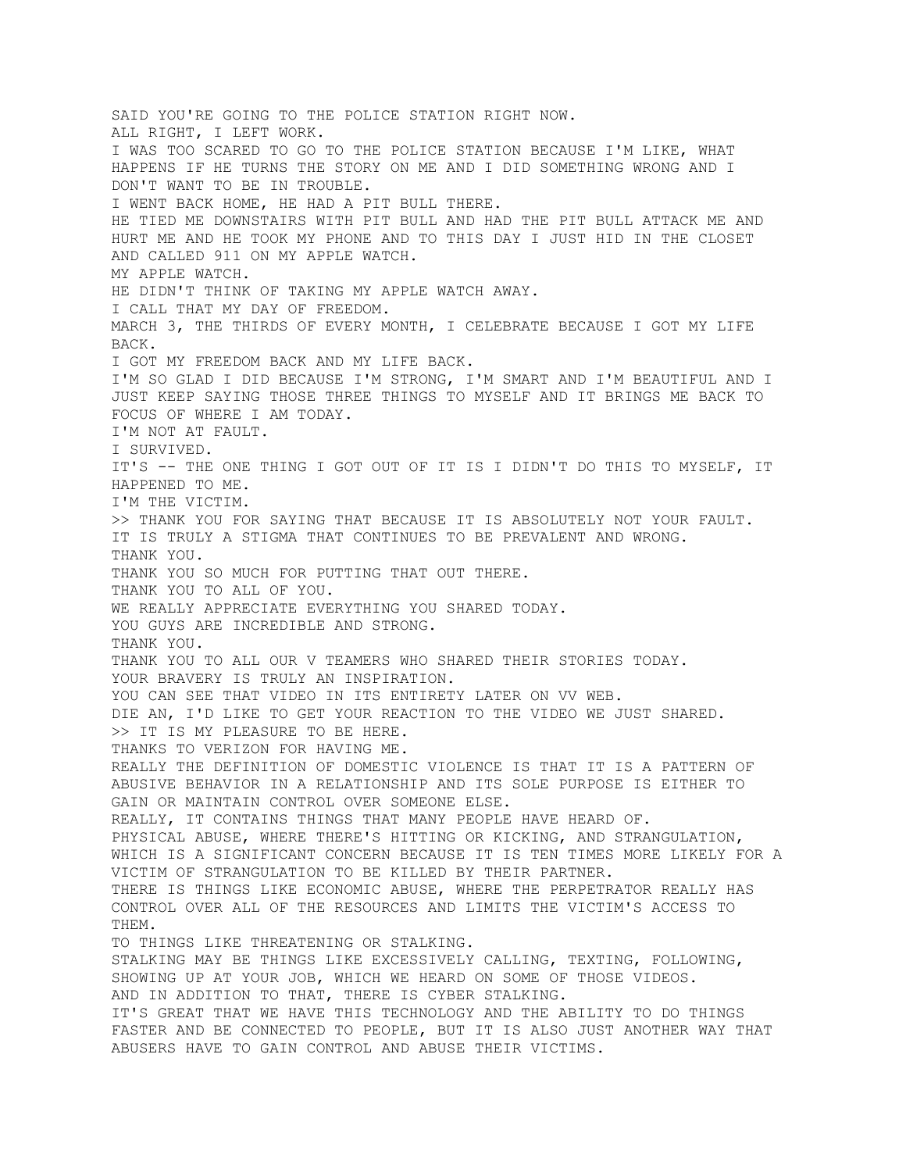SAID YOU'RE GOING TO THE POLICE STATION RIGHT NOW. ALL RIGHT, I LEFT WORK. I WAS TOO SCARED TO GO TO THE POLICE STATION BECAUSE I'M LIKE, WHAT HAPPENS IF HE TURNS THE STORY ON ME AND I DID SOMETHING WRONG AND I DON'T WANT TO BE IN TROUBLE. I WENT BACK HOME, HE HAD A PIT BULL THERE. HE TIED ME DOWNSTAIRS WITH PIT BULL AND HAD THE PIT BULL ATTACK ME AND HURT ME AND HE TOOK MY PHONE AND TO THIS DAY I JUST HID IN THE CLOSET AND CALLED 911 ON MY APPLE WATCH. MY APPLE WATCH. HE DIDN'T THINK OF TAKING MY APPLE WATCH AWAY. I CALL THAT MY DAY OF FREEDOM. MARCH 3, THE THIRDS OF EVERY MONTH, I CELEBRATE BECAUSE I GOT MY LIFE BACK. I GOT MY FREEDOM BACK AND MY LIFE BACK. I'M SO GLAD I DID BECAUSE I'M STRONG, I'M SMART AND I'M BEAUTIFUL AND I JUST KEEP SAYING THOSE THREE THINGS TO MYSELF AND IT BRINGS ME BACK TO FOCUS OF WHERE I AM TODAY. I'M NOT AT FAULT. I SURVIVED. IT'S -- THE ONE THING I GOT OUT OF IT IS I DIDN'T DO THIS TO MYSELF, IT HAPPENED TO ME. I'M THE VICTIM. >> THANK YOU FOR SAYING THAT BECAUSE IT IS ABSOLUTELY NOT YOUR FAULT. IT IS TRULY A STIGMA THAT CONTINUES TO BE PREVALENT AND WRONG. THANK YOU. THANK YOU SO MUCH FOR PUTTING THAT OUT THERE. THANK YOU TO ALL OF YOU. WE REALLY APPRECIATE EVERYTHING YOU SHARED TODAY. YOU GUYS ARE INCREDIBLE AND STRONG. THANK YOU. THANK YOU TO ALL OUR V TEAMERS WHO SHARED THEIR STORIES TODAY. YOUR BRAVERY IS TRULY AN INSPIRATION. YOU CAN SEE THAT VIDEO IN ITS ENTIRETY LATER ON VV WEB. DIE AN, I'D LIKE TO GET YOUR REACTION TO THE VIDEO WE JUST SHARED. >> IT IS MY PLEASURE TO BE HERE. THANKS TO VERIZON FOR HAVING ME. REALLY THE DEFINITION OF DOMESTIC VIOLENCE IS THAT IT IS A PATTERN OF ABUSIVE BEHAVIOR IN A RELATIONSHIP AND ITS SOLE PURPOSE IS EITHER TO GAIN OR MAINTAIN CONTROL OVER SOMEONE ELSE. REALLY, IT CONTAINS THINGS THAT MANY PEOPLE HAVE HEARD OF. PHYSICAL ABUSE, WHERE THERE'S HITTING OR KICKING, AND STRANGULATION, WHICH IS A SIGNIFICANT CONCERN BECAUSE IT IS TEN TIMES MORE LIKELY FOR A VICTIM OF STRANGULATION TO BE KILLED BY THEIR PARTNER. THERE IS THINGS LIKE ECONOMIC ABUSE, WHERE THE PERPETRATOR REALLY HAS CONTROL OVER ALL OF THE RESOURCES AND LIMITS THE VICTIM'S ACCESS TO THEM. TO THINGS LIKE THREATENING OR STALKING. STALKING MAY BE THINGS LIKE EXCESSIVELY CALLING, TEXTING, FOLLOWING, SHOWING UP AT YOUR JOB, WHICH WE HEARD ON SOME OF THOSE VIDEOS. AND IN ADDITION TO THAT, THERE IS CYBER STALKING. IT'S GREAT THAT WE HAVE THIS TECHNOLOGY AND THE ABILITY TO DO THINGS FASTER AND BE CONNECTED TO PEOPLE, BUT IT IS ALSO JUST ANOTHER WAY THAT ABUSERS HAVE TO GAIN CONTROL AND ABUSE THEIR VICTIMS.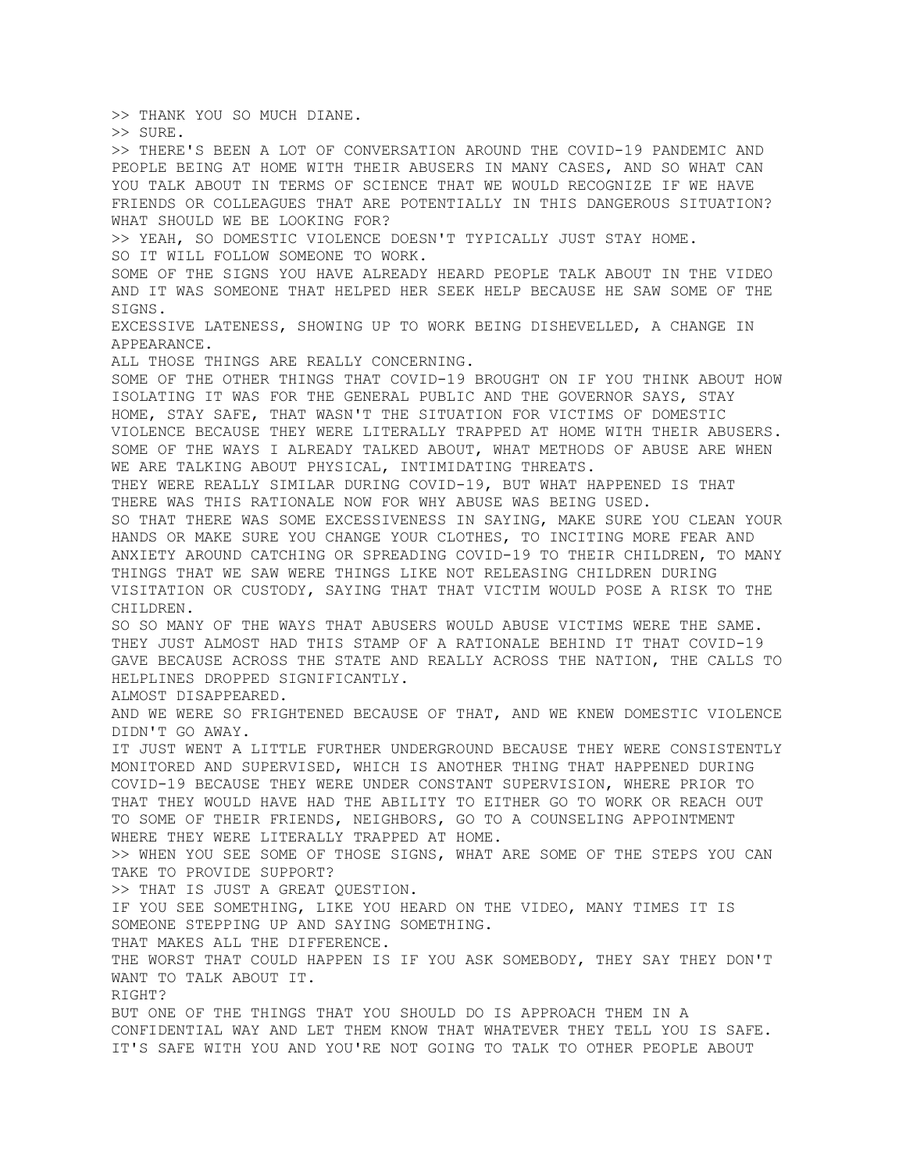>> THANK YOU SO MUCH DIANE. >> SURE. >> THERE'S BEEN A LOT OF CONVERSATION AROUND THE COVID-19 PANDEMIC AND PEOPLE BEING AT HOME WITH THEIR ABUSERS IN MANY CASES, AND SO WHAT CAN YOU TALK ABOUT IN TERMS OF SCIENCE THAT WE WOULD RECOGNIZE IF WE HAVE FRIENDS OR COLLEAGUES THAT ARE POTENTIALLY IN THIS DANGEROUS SITUATION? WHAT SHOULD WE BE LOOKING FOR? >> YEAH, SO DOMESTIC VIOLENCE DOESN'T TYPICALLY JUST STAY HOME. SO IT WILL FOLLOW SOMEONE TO WORK. SOME OF THE SIGNS YOU HAVE ALREADY HEARD PEOPLE TALK ABOUT IN THE VIDEO AND IT WAS SOMEONE THAT HELPED HER SEEK HELP BECAUSE HE SAW SOME OF THE SIGNS. EXCESSIVE LATENESS, SHOWING UP TO WORK BEING DISHEVELLED, A CHANGE IN APPEARANCE. ALL THOSE THINGS ARE REALLY CONCERNING. SOME OF THE OTHER THINGS THAT COVID-19 BROUGHT ON IF YOU THINK ABOUT HOW ISOLATING IT WAS FOR THE GENERAL PUBLIC AND THE GOVERNOR SAYS, STAY HOME, STAY SAFE, THAT WASN'T THE SITUATION FOR VICTIMS OF DOMESTIC VIOLENCE BECAUSE THEY WERE LITERALLY TRAPPED AT HOME WITH THEIR ABUSERS. SOME OF THE WAYS I ALREADY TALKED ABOUT, WHAT METHODS OF ABUSE ARE WHEN WE ARE TALKING ABOUT PHYSICAL, INTIMIDATING THREATS. THEY WERE REALLY SIMILAR DURING COVID-19, BUT WHAT HAPPENED IS THAT THERE WAS THIS RATIONALE NOW FOR WHY ABUSE WAS BEING USED. SO THAT THERE WAS SOME EXCESSIVENESS IN SAYING, MAKE SURE YOU CLEAN YOUR HANDS OR MAKE SURE YOU CHANGE YOUR CLOTHES, TO INCITING MORE FEAR AND ANXIETY AROUND CATCHING OR SPREADING COVID-19 TO THEIR CHILDREN, TO MANY THINGS THAT WE SAW WERE THINGS LIKE NOT RELEASING CHILDREN DURING VISITATION OR CUSTODY, SAYING THAT THAT VICTIM WOULD POSE A RISK TO THE CHILDREN. SO SO MANY OF THE WAYS THAT ABUSERS WOULD ABUSE VICTIMS WERE THE SAME. THEY JUST ALMOST HAD THIS STAMP OF A RATIONALE BEHIND IT THAT COVID-19 GAVE BECAUSE ACROSS THE STATE AND REALLY ACROSS THE NATION, THE CALLS TO HELPLINES DROPPED SIGNIFICANTLY. ALMOST DISAPPEARED. AND WE WERE SO FRIGHTENED BECAUSE OF THAT, AND WE KNEW DOMESTIC VIOLENCE DIDN'T GO AWAY. IT JUST WENT A LITTLE FURTHER UNDERGROUND BECAUSE THEY WERE CONSISTENTLY MONITORED AND SUPERVISED, WHICH IS ANOTHER THING THAT HAPPENED DURING COVID-19 BECAUSE THEY WERE UNDER CONSTANT SUPERVISION, WHERE PRIOR TO THAT THEY WOULD HAVE HAD THE ABILITY TO EITHER GO TO WORK OR REACH OUT TO SOME OF THEIR FRIENDS, NEIGHBORS, GO TO A COUNSELING APPOINTMENT WHERE THEY WERE LITERALLY TRAPPED AT HOME. >> WHEN YOU SEE SOME OF THOSE SIGNS, WHAT ARE SOME OF THE STEPS YOU CAN TAKE TO PROVIDE SUPPORT? >> THAT IS JUST A GREAT QUESTION. IF YOU SEE SOMETHING, LIKE YOU HEARD ON THE VIDEO, MANY TIMES IT IS SOMEONE STEPPING UP AND SAYING SOMETHING. THAT MAKES ALL THE DIFFERENCE. THE WORST THAT COULD HAPPEN IS IF YOU ASK SOMEBODY, THEY SAY THEY DON'T WANT TO TALK ABOUT IT. RIGHT? BUT ONE OF THE THINGS THAT YOU SHOULD DO IS APPROACH THEM IN A CONFIDENTIAL WAY AND LET THEM KNOW THAT WHATEVER THEY TELL YOU IS SAFE. IT'S SAFE WITH YOU AND YOU'RE NOT GOING TO TALK TO OTHER PEOPLE ABOUT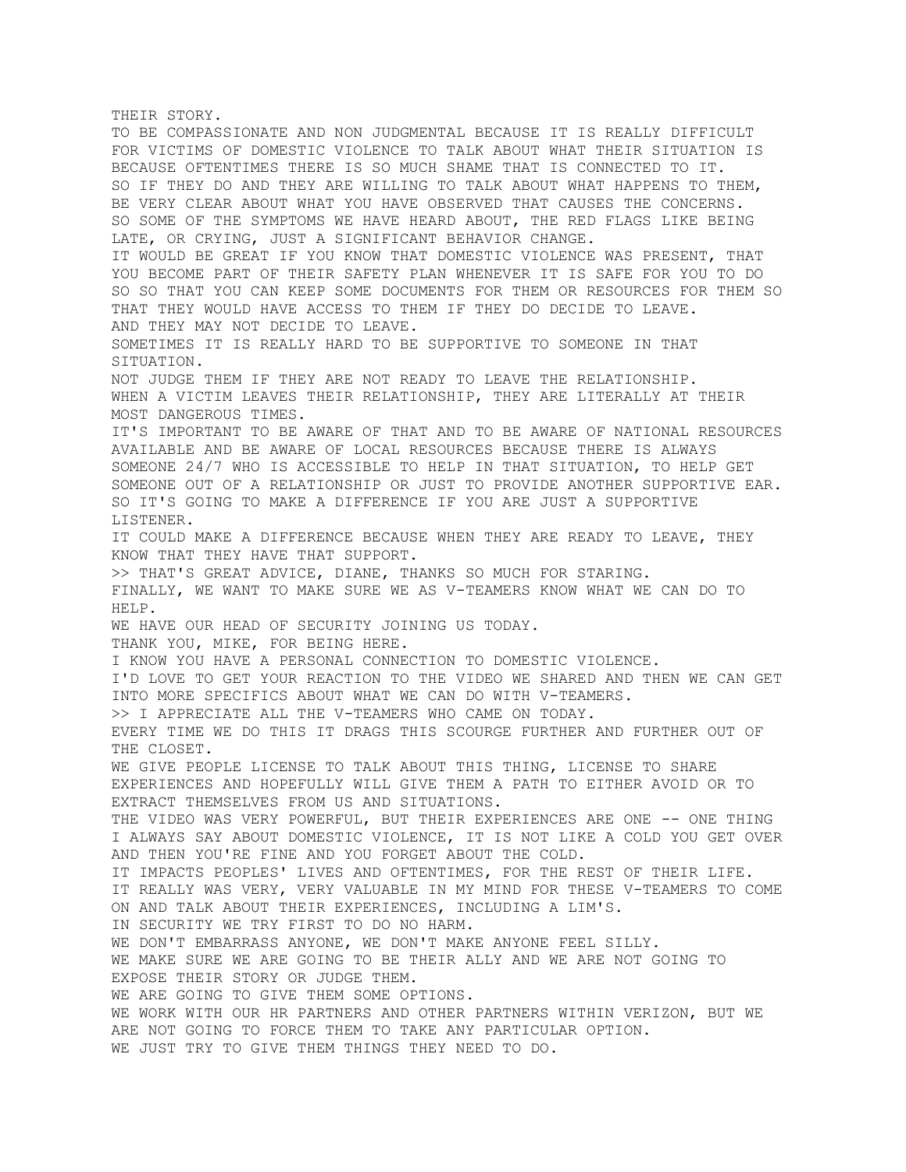THEIR STORY. TO BE COMPASSIONATE AND NON JUDGMENTAL BECAUSE IT IS REALLY DIFFICULT FOR VICTIMS OF DOMESTIC VIOLENCE TO TALK ABOUT WHAT THEIR SITUATION IS BECAUSE OFTENTIMES THERE IS SO MUCH SHAME THAT IS CONNECTED TO IT. SO IF THEY DO AND THEY ARE WILLING TO TALK ABOUT WHAT HAPPENS TO THEM, BE VERY CLEAR ABOUT WHAT YOU HAVE OBSERVED THAT CAUSES THE CONCERNS. SO SOME OF THE SYMPTOMS WE HAVE HEARD ABOUT, THE RED FLAGS LIKE BEING LATE, OR CRYING, JUST A SIGNIFICANT BEHAVIOR CHANGE. IT WOULD BE GREAT IF YOU KNOW THAT DOMESTIC VIOLENCE WAS PRESENT, THAT YOU BECOME PART OF THEIR SAFETY PLAN WHENEVER IT IS SAFE FOR YOU TO DO SO SO THAT YOU CAN KEEP SOME DOCUMENTS FOR THEM OR RESOURCES FOR THEM SO THAT THEY WOULD HAVE ACCESS TO THEM IF THEY DO DECIDE TO LEAVE. AND THEY MAY NOT DECIDE TO LEAVE. SOMETIMES IT IS REALLY HARD TO BE SUPPORTIVE TO SOMEONE IN THAT SITUATION. NOT JUDGE THEM IF THEY ARE NOT READY TO LEAVE THE RELATIONSHIP. WHEN A VICTIM LEAVES THEIR RELATIONSHIP, THEY ARE LITERALLY AT THEIR MOST DANGEROUS TIMES. IT'S IMPORTANT TO BE AWARE OF THAT AND TO BE AWARE OF NATIONAL RESOURCES AVAILABLE AND BE AWARE OF LOCAL RESOURCES BECAUSE THERE IS ALWAYS SOMEONE 24/7 WHO IS ACCESSIBLE TO HELP IN THAT SITUATION, TO HELP GET SOMEONE OUT OF A RELATIONSHIP OR JUST TO PROVIDE ANOTHER SUPPORTIVE EAR. SO IT'S GOING TO MAKE A DIFFERENCE IF YOU ARE JUST A SUPPORTIVE LISTENER. IT COULD MAKE A DIFFERENCE BECAUSE WHEN THEY ARE READY TO LEAVE, THEY KNOW THAT THEY HAVE THAT SUPPORT. >> THAT'S GREAT ADVICE, DIANE, THANKS SO MUCH FOR STARING. FINALLY, WE WANT TO MAKE SURE WE AS V-TEAMERS KNOW WHAT WE CAN DO TO HELP. WE HAVE OUR HEAD OF SECURITY JOINING US TODAY. THANK YOU, MIKE, FOR BEING HERE. I KNOW YOU HAVE A PERSONAL CONNECTION TO DOMESTIC VIOLENCE. I'D LOVE TO GET YOUR REACTION TO THE VIDEO WE SHARED AND THEN WE CAN GET INTO MORE SPECIFICS ABOUT WHAT WE CAN DO WITH V-TEAMERS. >> I APPRECIATE ALL THE V-TEAMERS WHO CAME ON TODAY. EVERY TIME WE DO THIS IT DRAGS THIS SCOURGE FURTHER AND FURTHER OUT OF THE CLOSET. WE GIVE PEOPLE LICENSE TO TALK ABOUT THIS THING, LICENSE TO SHARE EXPERIENCES AND HOPEFULLY WILL GIVE THEM A PATH TO EITHER AVOID OR TO EXTRACT THEMSELVES FROM US AND SITUATIONS. THE VIDEO WAS VERY POWERFUL, BUT THEIR EXPERIENCES ARE ONE -- ONE THING I ALWAYS SAY ABOUT DOMESTIC VIOLENCE, IT IS NOT LIKE A COLD YOU GET OVER AND THEN YOU'RE FINE AND YOU FORGET ABOUT THE COLD. IT IMPACTS PEOPLES' LIVES AND OFTENTIMES, FOR THE REST OF THEIR LIFE. IT REALLY WAS VERY, VERY VALUABLE IN MY MIND FOR THESE V-TEAMERS TO COME ON AND TALK ABOUT THEIR EXPERIENCES, INCLUDING A LIM'S. IN SECURITY WE TRY FIRST TO DO NO HARM. WE DON'T EMBARRASS ANYONE, WE DON'T MAKE ANYONE FEEL SILLY. WE MAKE SURE WE ARE GOING TO BE THEIR ALLY AND WE ARE NOT GOING TO EXPOSE THEIR STORY OR JUDGE THEM. WE ARE GOING TO GIVE THEM SOME OPTIONS. WE WORK WITH OUR HR PARTNERS AND OTHER PARTNERS WITHIN VERIZON, BUT WE ARE NOT GOING TO FORCE THEM TO TAKE ANY PARTICULAR OPTION. WE JUST TRY TO GIVE THEM THINGS THEY NEED TO DO.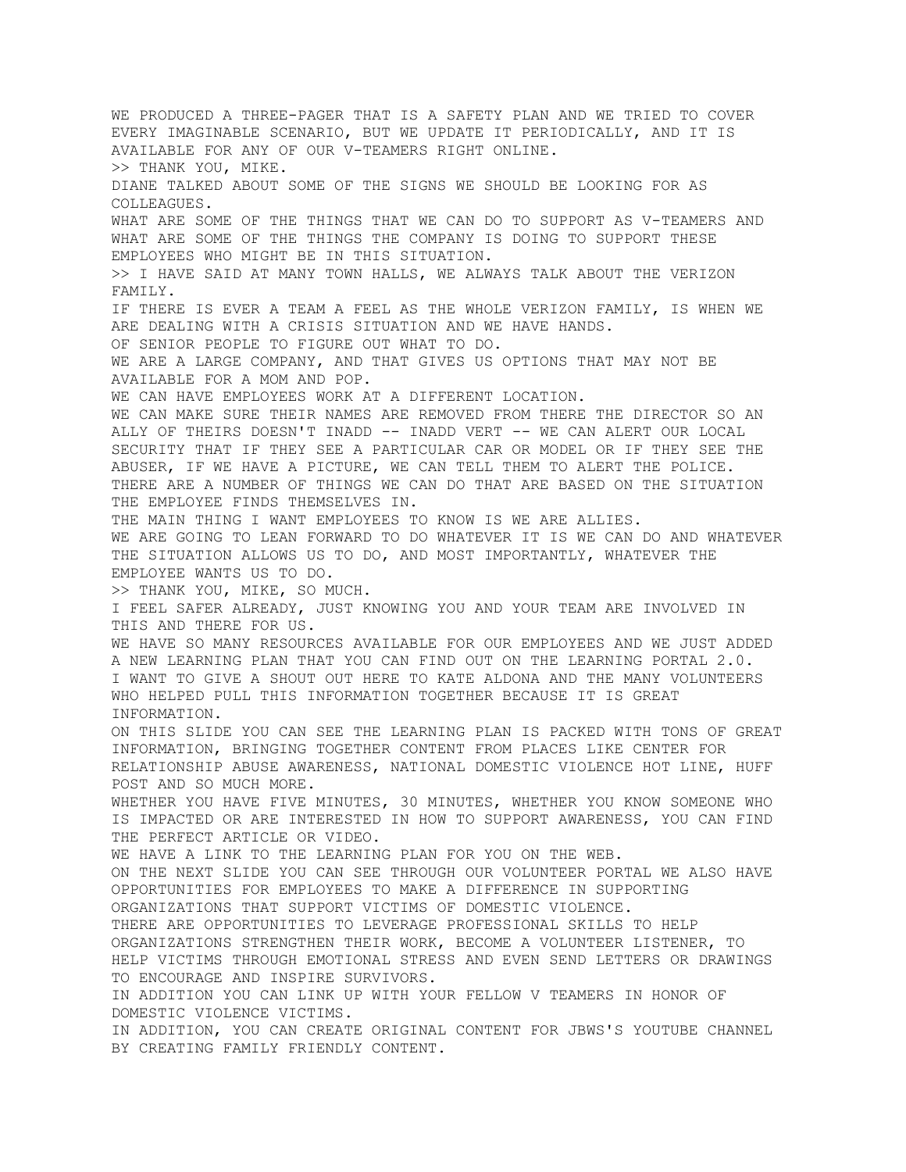WE PRODUCED A THREE-PAGER THAT IS A SAFETY PLAN AND WE TRIED TO COVER EVERY IMAGINABLE SCENARIO, BUT WE UPDATE IT PERIODICALLY, AND IT IS AVAILABLE FOR ANY OF OUR V-TEAMERS RIGHT ONLINE. >> THANK YOU, MIKE. DIANE TALKED ABOUT SOME OF THE SIGNS WE SHOULD BE LOOKING FOR AS COLLEAGUES. WHAT ARE SOME OF THE THINGS THAT WE CAN DO TO SUPPORT AS V-TEAMERS AND WHAT ARE SOME OF THE THINGS THE COMPANY IS DOING TO SUPPORT THESE EMPLOYEES WHO MIGHT BE IN THIS SITUATION. >> I HAVE SAID AT MANY TOWN HALLS, WE ALWAYS TALK ABOUT THE VERIZON FAMILY. IF THERE IS EVER A TEAM A FEEL AS THE WHOLE VERIZON FAMILY, IS WHEN WE ARE DEALING WITH A CRISIS SITUATION AND WE HAVE HANDS. OF SENIOR PEOPLE TO FIGURE OUT WHAT TO DO. WE ARE A LARGE COMPANY, AND THAT GIVES US OPTIONS THAT MAY NOT BE AVAILABLE FOR A MOM AND POP. WE CAN HAVE EMPLOYEES WORK AT A DIFFERENT LOCATION. WE CAN MAKE SURE THEIR NAMES ARE REMOVED FROM THERE THE DIRECTOR SO AN ALLY OF THEIRS DOESN'T INADD -- INADD VERT -- WE CAN ALERT OUR LOCAL SECURITY THAT IF THEY SEE A PARTICULAR CAR OR MODEL OR IF THEY SEE THE ABUSER, IF WE HAVE A PICTURE, WE CAN TELL THEM TO ALERT THE POLICE. THERE ARE A NUMBER OF THINGS WE CAN DO THAT ARE BASED ON THE SITUATION THE EMPLOYEE FINDS THEMSELVES IN. THE MAIN THING I WANT EMPLOYEES TO KNOW IS WE ARE ALLIES. WE ARE GOING TO LEAN FORWARD TO DO WHATEVER IT IS WE CAN DO AND WHATEVER THE SITUATION ALLOWS US TO DO, AND MOST IMPORTANTLY, WHATEVER THE EMPLOYEE WANTS US TO DO. >> THANK YOU, MIKE, SO MUCH. I FEEL SAFER ALREADY, JUST KNOWING YOU AND YOUR TEAM ARE INVOLVED IN THIS AND THERE FOR US. WE HAVE SO MANY RESOURCES AVAILABLE FOR OUR EMPLOYEES AND WE JUST ADDED A NEW LEARNING PLAN THAT YOU CAN FIND OUT ON THE LEARNING PORTAL 2.0. I WANT TO GIVE A SHOUT OUT HERE TO KATE ALDONA AND THE MANY VOLUNTEERS WHO HELPED PULL THIS INFORMATION TOGETHER BECAUSE IT IS GREAT INFORMATION. ON THIS SLIDE YOU CAN SEE THE LEARNING PLAN IS PACKED WITH TONS OF GREAT INFORMATION, BRINGING TOGETHER CONTENT FROM PLACES LIKE CENTER FOR RELATIONSHIP ABUSE AWARENESS, NATIONAL DOMESTIC VIOLENCE HOT LINE, HUFF POST AND SO MUCH MORE. WHETHER YOU HAVE FIVE MINUTES, 30 MINUTES, WHETHER YOU KNOW SOMEONE WHO IS IMPACTED OR ARE INTERESTED IN HOW TO SUPPORT AWARENESS, YOU CAN FIND THE PERFECT ARTICLE OR VIDEO. WE HAVE A LINK TO THE LEARNING PLAN FOR YOU ON THE WEB. ON THE NEXT SLIDE YOU CAN SEE THROUGH OUR VOLUNTEER PORTAL WE ALSO HAVE OPPORTUNITIES FOR EMPLOYEES TO MAKE A DIFFERENCE IN SUPPORTING ORGANIZATIONS THAT SUPPORT VICTIMS OF DOMESTIC VIOLENCE. THERE ARE OPPORTUNITIES TO LEVERAGE PROFESSIONAL SKILLS TO HELP ORGANIZATIONS STRENGTHEN THEIR WORK, BECOME A VOLUNTEER LISTENER, TO HELP VICTIMS THROUGH EMOTIONAL STRESS AND EVEN SEND LETTERS OR DRAWINGS TO ENCOURAGE AND INSPIRE SURVIVORS. IN ADDITION YOU CAN LINK UP WITH YOUR FELLOW V TEAMERS IN HONOR OF DOMESTIC VIOLENCE VICTIMS. IN ADDITION, YOU CAN CREATE ORIGINAL CONTENT FOR JBWS'S YOUTUBE CHANNEL BY CREATING FAMILY FRIENDLY CONTENT.